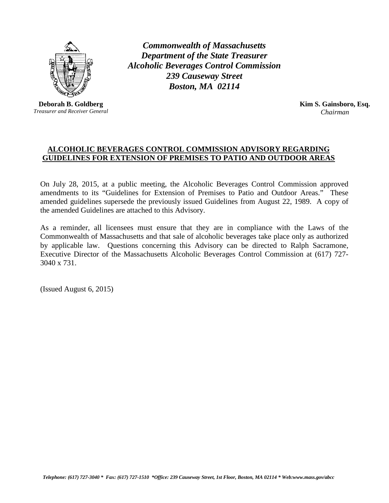

**Deborah B. Goldberg** *Treasurer and Receiver General*

*Commonwealth of Massachusetts Department of the State Treasurer Alcoholic Beverages Control Commission 239 Causeway Street Boston, MA 02114*

> **Kim S. Gainsboro, Esq.** *Chairman*

## **ALCOHOLIC BEVERAGES CONTROL COMMISSION ADVISORY REGARDING GUIDELINES FOR EXTENSION OF PREMISES TO PATIO AND OUTDOOR AREAS**

On July 28, 2015, at a public meeting, the Alcoholic Beverages Control Commission approved amendments to its "Guidelines for Extension of Premises to Patio and Outdoor Areas." These amended guidelines supersede the previously issued Guidelines from August 22, 1989. A copy of the amended Guidelines are attached to this Advisory.

As a reminder, all licensees must ensure that they are in compliance with the Laws of the Commonwealth of Massachusetts and that sale of alcoholic beverages take place only as authorized by applicable law. Questions concerning this Advisory can be directed to Ralph Sacramone, Executive Director of the Massachusetts Alcoholic Beverages Control Commission at (617) 727- 3040 x 731.

(Issued August 6, 2015)